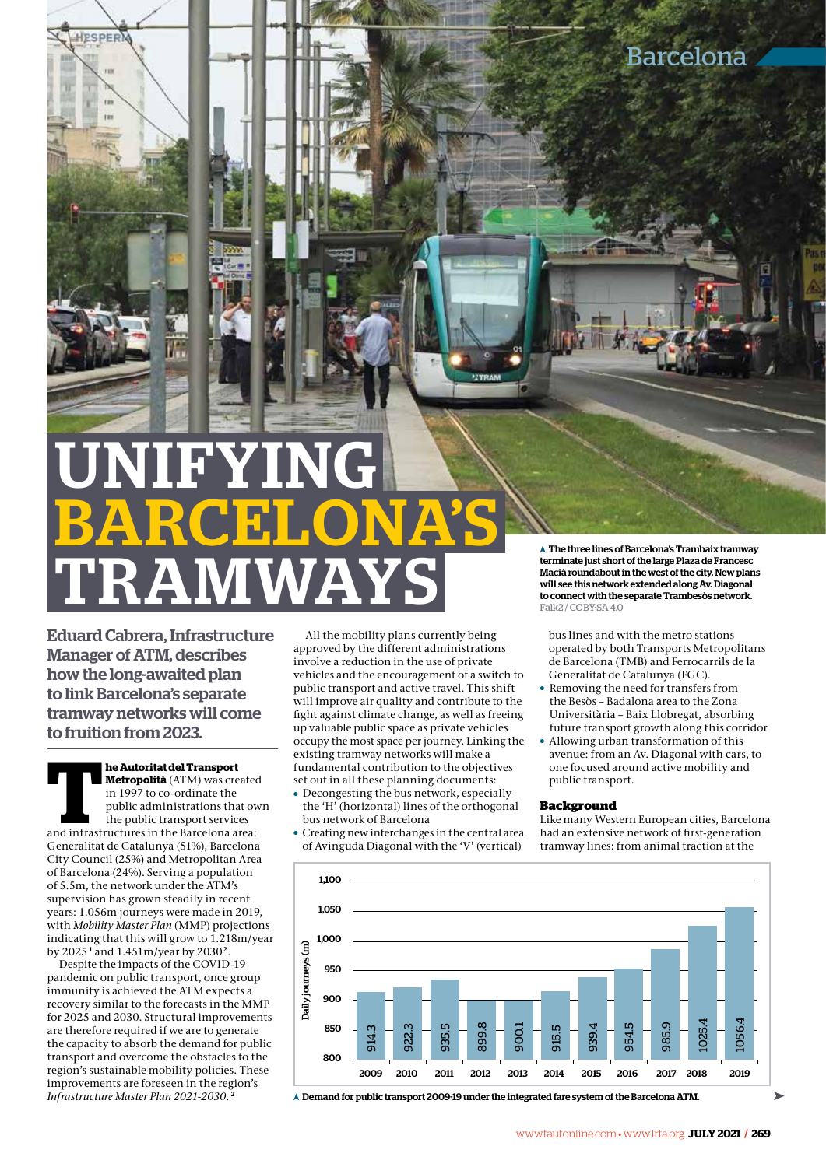# IFYING BARCELONA'S A The three lines of Barcelona's Trambaix tramway<br>terminate just short of the large Plaza de Francesc<br>will see this neutwork extended along Av. Diagonal<br>to connect with the separate Trambesos network.<br>Falk2/CCBY5A 4.0

Eduard Cabrera, Infrastructure Manager of ATM, describes how the long-awaited plan to link Barcelona's separate tramway networks will come to fruition from 2023.

**ESPER** 

**The Autoritat del Transport Metropolità** (ATM) was created in 1997 to co-ordinate the public administrations that over the public transport services and infrastructures in the Barcelona area: **Metropolità** (ATM) was created in 1997 to co-ordinate the public administrations that own the public transport services Generalitat de Catalunya (51%), Barcelona City Council (25%) and Metropolitan Area of Barcelona (24%). Serving a population of 5.5m, the network under the ATM's supervision has grown steadily in recent years: 1.056m journeys were made in 2019, with *Mobility Master Plan* (MMP) projections indicating that this will grow to 1.218m/year by 2025**<sup>1</sup>** and 1.451m/year by 2030**<sup>2</sup>**.

Despite the impacts of the COVID-19 pandemic on public transport, once group immunity is achieved the ATM expects a recovery similar to the forecasts in the MMP for 2025 and 2030. Structural improvements are therefore required if we are to generate the capacity to absorb the demand for public transport and overcome the obstacles to the region's sustainable mobility policies. These improvements are foreseen in the region's *Infrastructure Master Plan 2021-2030*. **<sup>2</sup>**

All the mobility plans currently being approved by the different administrations involve a reduction in the use of private vehicles and the encouragement of a switch to public transport and active travel. This shift will improve air quality and contribute to the fight against climate change, as well as freeing up valuable public space as private vehicles occupy the most space per journey. Linking the existing tramway networks will make a fundamental contribution to the objectives set out in all these planning documents:

- Decongesting the bus network, especially the 'H' (horizontal) lines of the orthogonal bus network of Barcelona
- $\bullet$  Creating new interchanges in the central area of Avinguda Diagonal with the 'V' (vertical)

terminate just short of the large Plaza de Francesc Macià roundabout in the west of the city. New plans will see this network extended along Av. Diagonal to connect with the separate Trambesòs network.  $Fallz2$  / CC BY-SA 4.0

bus lines and with the metro stations operated by both Transports Metropolitans de Barcelona (TMB) and Ferrocarrils de la Generalitat de Catalunya (FGC).

- Removing the need for transfers from the Besòs – Badalona area to the Zona Universitària – Baix Llobregat, absorbing future transport growth along this corridor
- Allowing urban transformation of this avenue: from an Av. Diagonal with cars, to one focused around active mobility and public transport.

#### **Background**

Like many Western European cities, Barcelona had an extensive network of first-generation tramway lines: from animal traction at the



Demand for public transport 2009-19 under the integrated fare system of the Barcelona ATM.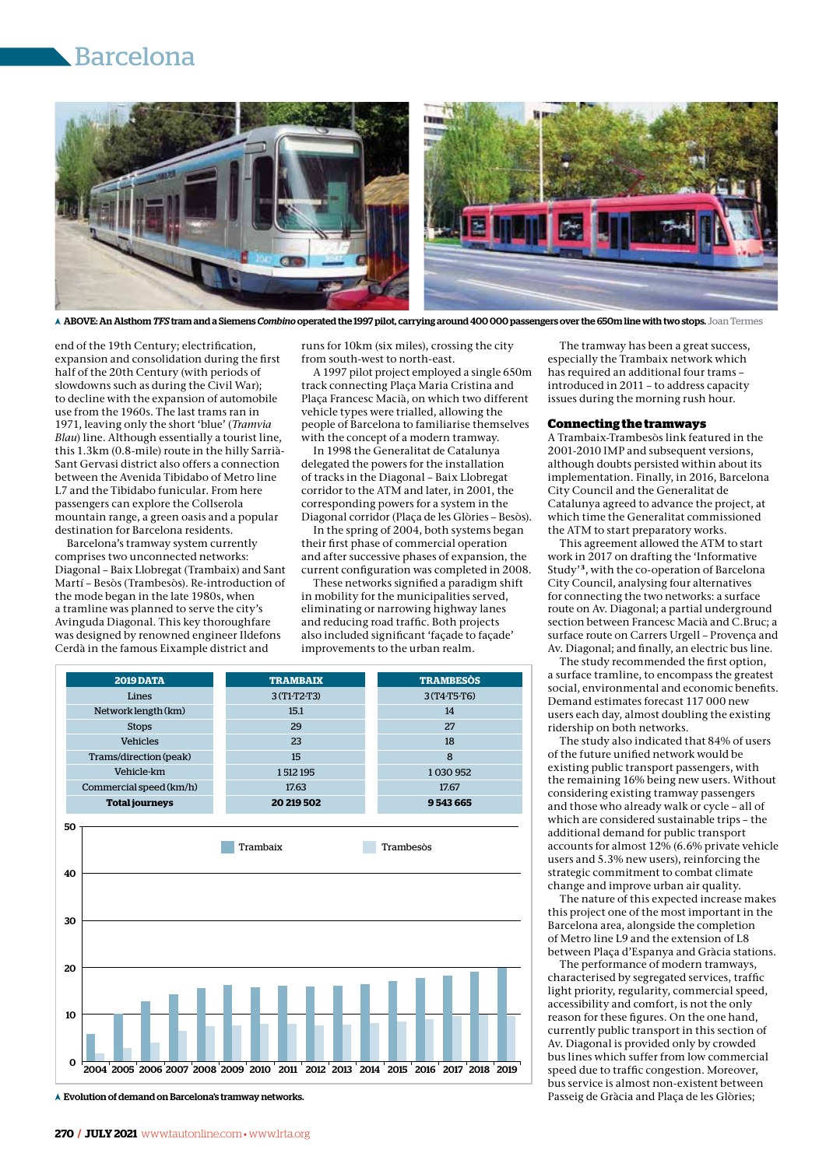## Barcelona



ABOVE: An Alsthom *TFS* tram and a Siemens *Combino* operated the 1997 pilot, carrying around 400 000 passengers over the 650m line with two stops. Joan Termes

end of the 19th Century; electrification, expansion and consolidation during the first half of the 20th Century (with periods of slowdowns such as during the Civil War); to decline with the expansion of automobile use from the 1960s. The last trams ran in 1971, leaving only the short 'blue' (*Tramvia Blau*) line. Although essentially a tourist line, this 1.3km (0.8-mile) route in the hilly Sarrià-Sant Gervasi district also offers a connection between the Avenida Tibidabo of Metro line L7 and the Tibidabo funicular. From here passengers can explore the Collserola mountain range, a green oasis and a popular destination for Barcelona residents.

Barcelona's tramway system currently comprises two unconnected networks: Diagonal – Baix Llobregat (Trambaix) and Sant Martí – Besòs (Trambesòs). Re-introduction of the mode began in the late 1980s, when a tramline was planned to serve the city's Avinguda Diagonal. This key thoroughfare was designed by renowned engineer Ildefons Cerdà in the famous Eixample district and

runs for 10km (six miles), crossing the city from south-west to north-east.

A 1997 pilot project employed a single 650m track connecting Plaça Maria Cristina and Plaça Francesc Macià, on which two different vehicle types were trialled, allowing the people of Barcelona to familiarise themselves with the concept of a modern tramway.

In 1998 the Generalitat de Catalunya delegated the powers for the installation of tracks in the Diagonal – Baix Llobregat corridor to the ATM and later, in 2001, the corresponding powers for a system in the Diagonal corridor (Plaça de les Glòries – Besòs).

In the spring of 2004, both systems began their first phase of commercial operation and after successive phases of expansion, the current configuration was completed in 2008.

These networks signified a paradigm shift in mobility for the municipalities served, eliminating or narrowing highway lanes and reducing road traffic. Both projects also included significant 'façade to façade' improvements to the urban realm.



Evolution of demand on Barcelona's tramway networks.

The tramway has been a great success, especially the Trambaix network which has required an additional four trams – introduced in 2011 – to address capacity issues during the morning rush hour.

#### **Connecting the tramways**

A Trambaix-Trambesòs link featured in the 2001-2010 IMP and subsequent versions, although doubts persisted within about its implementation. Finally, in 2016, Barcelona City Council and the Generalitat de Catalunya agreed to advance the project, at which time the Generalitat commissioned the ATM to start preparatory works.

This agreement allowed the ATM to start work in 2017 on drafting the 'Informative Study'**<sup>3</sup>**, with the co-operation of Barcelona City Council, analysing four alternatives for connecting the two networks: a surface route on Av. Diagonal; a partial underground section between Francesc Macià and C.Bruc; a surface route on Carrers Urgell – Provença and Av. Diagonal; and finally, an electric bus line.

The study recommended the first option, a surface tramline, to encompass the greatest social, environmental and economic benefits. Demand estimates forecast 117 000 new users each day, almost doubling the existing ridership on both networks.

The study also indicated that 84% of users of the future unified network would be existing public transport passengers, with the remaining 16% being new users. Without considering existing tramway passengers and those who already walk or cycle – all of which are considered sustainable trips – the additional demand for public transport accounts for almost 12% (6.6% private vehicle users and 5.3% new users), reinforcing the strategic commitment to combat climate change and improve urban air quality.

The nature of this expected increase makes this project one of the most important in the Barcelona area, alongside the completion of Metro line L9 and the extension of L8 between Plaça d'Espanya and Gràcia stations.

The performance of modern tramways, characterised by segregated services, traffic light priority, regularity, commercial speed, accessibility and comfort, is not the only reason for these figures. On the one hand, currently public transport in this section of Av. Diagonal is provided only by crowded bus lines which suffer from low commercial speed due to traffic congestion. Moreover, bus service is almost non-existent between Passeig de Gràcia and Plaça de les Glòries;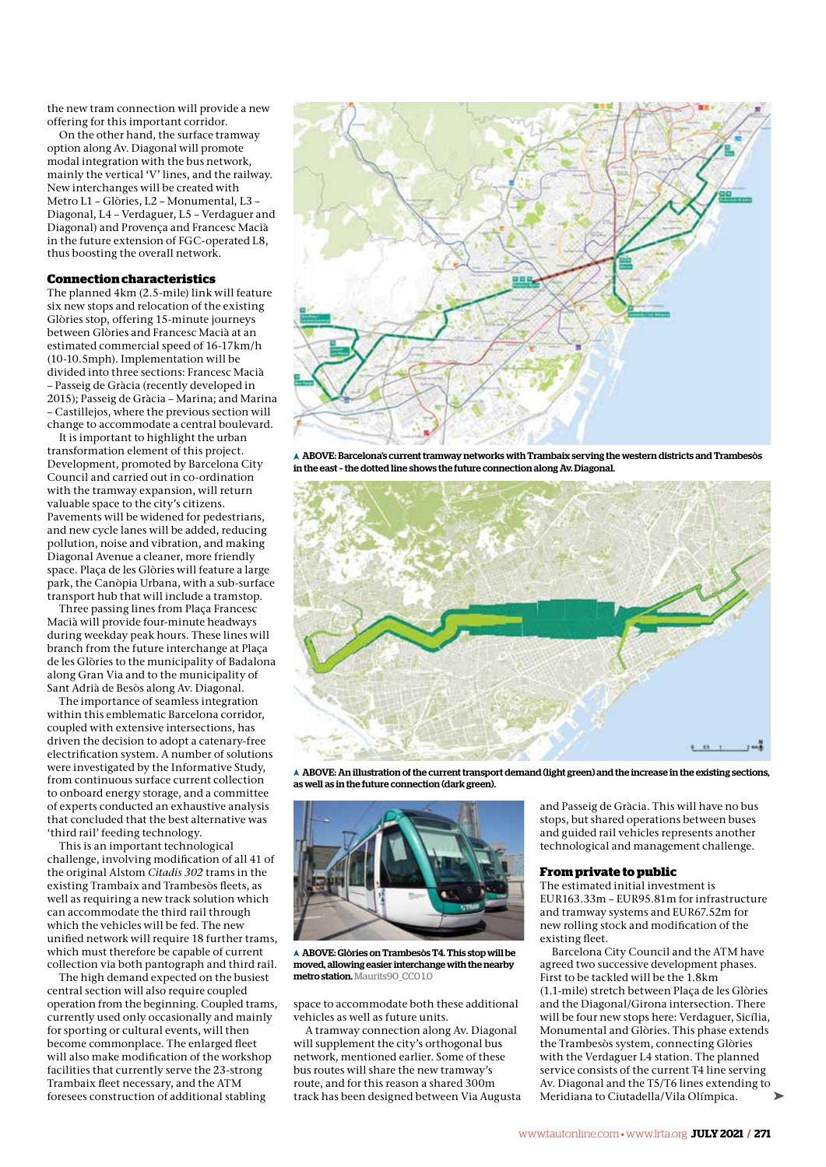the new tram connection will provide a new offering for this important corridor.

On the other hand, the surface tramway option along Av. Diagonal will promote modal integration with the bus network, mainly the vertical 'V' lines, and the railway. New interchanges will be created with Metro L1 – Glòries, L2 – Monumental, L3 – Diagonal, L4 – Verdaguer, L5 – Verdaguer and Diagonal) and Provença and Francesc Macià in the future extension of FGC-operated L8, thus boosting the overall network.

#### **Connection characteristics**

The planned 4km (2.5-mile) link will feature six new stops and relocation of the existing Glòries stop, offering 15-minute journeys between Glòries and Francesc Macià at an estimated commercial speed of 16-17km/h (10-10.5mph). Implementation will be divided into three sections: Francesc Macià – Passeig de Gràcia (recently developed in 2015); Passeig de Gràcia – Marina; and Marina – Castillejos, where the previous section will change to accommodate a central boulevard.

It is important to highlight the urban transformation element of this project. Development, promoted by Barcelona City Council and carried out in co-ordination with the tramway expansion, will return valuable space to the city's citizens. Pavements will be widened for pedestrians, and new cycle lanes will be added, reducing pollution, noise and vibration, and making Diagonal Avenue a cleaner, more friendly space. Plaça de les Glòries will feature a large park, the Canòpia Urbana, with a sub-surface transport hub that will include a tramstop.

Three passing lines from Plaça Francesc Macià will provide four-minute headways during weekday peak hours. These lines will branch from the future interchange at Plaça de les Glòries to the municipality of Badalona along Gran Via and to the municipality of Sant Adrià de Besòs along Av. Diagonal.

The importance of seamless integration within this emblematic Barcelona corridor, coupled with extensive intersections, has driven the decision to adopt a catenary-free electrification system. A number of solutions were investigated by the Informative Study, from continuous surface current collection to onboard energy storage, and a committee of experts conducted an exhaustive analysis that concluded that the best alternative was 'third rail' feeding technology.

This is an important technological challenge, involving modification of all 41 of the original Alstom *Citadis 302* trams in the existing Trambaix and Trambesòs fleets, as well as requiring a new track solution which can accommodate the third rail through which the vehicles will be fed. The new unified network will require 18 further trams, which must therefore be capable of current collection via both pantograph and third rail.

The high demand expected on the busiest central section will also require coupled operation from the beginning. Coupled trams, currently used only occasionally and mainly for sporting or cultural events, will then become commonplace. The enlarged fleet will also make modification of the workshop facilities that currently serve the 23-strong Trambaix fleet necessary, and the ATM foresees construction of additional stabling



 $\overline{A}$  ABOVE: Barcelona's current tramway networks with Trambaix serving the western districts and Trambesòs in the east – the dotted line shows the future connection along Av. Diagonal.



 ABOVE: An illustration of the current transport demand (light green) and the increase in the existing sections, as well as in the future connection (dark green).



 ABOVE: Glòries on Trambesòs T4. This stop will be moved, allowing easier interchange with the nearby metro station. Maurits90\_CC01.0

space to accommodate both these additional vehicles as well as future units.

A tramway connection along Av. Diagonal will supplement the city's orthogonal bus network, mentioned earlier. Some of these bus routes will share the new tramway's route, and for this reason a shared 300m track has been designed between Via Augusta and Passeig de Gràcia. This will have no bus stops, but shared operations between buses and guided rail vehicles represents another technological and management challenge.

#### **From private to public**

The estimated initial investment is EUR163.33m – EUR95.81m for infrastructure and tramway systems and EUR67.52m for new rolling stock and modification of the existing fleet.

Barcelona City Council and the ATM have agreed two successive development phases. First to be tackled will be the 1.8km (1.1-mile) stretch between Plaça de les Glòries and the Diagonal/Girona intersection. There will be four new stops here: Verdaguer, Sicília, Monumental and Glòries. This phase extends the Trambesòs system, connecting Glòries with the Verdaguer L4 station. The planned service consists of the current T4 line serving Av. Diagonal and the T5/T6 lines extending to Meridiana to Ciutadella/Vila Olímpica.